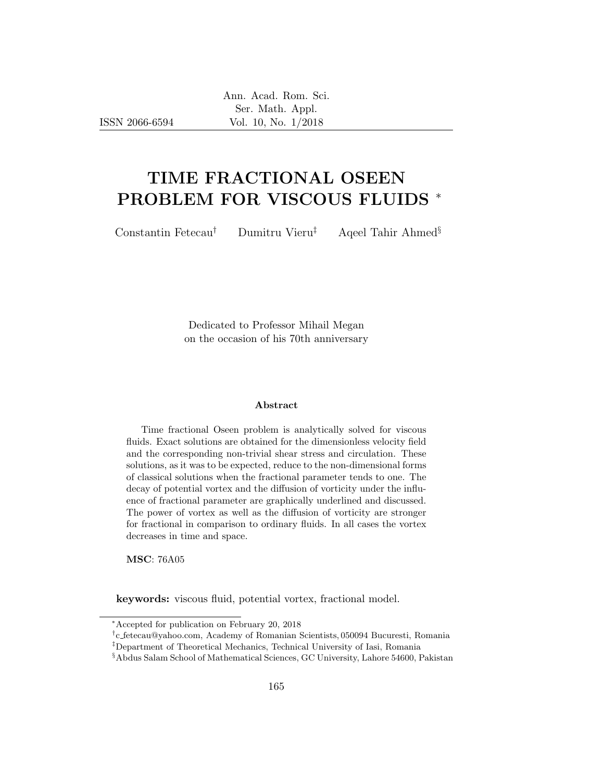ISSN 2066-6594

# TIME FRACTIONAL OSEEN PROBLEM FOR VISCOUS FLUIDS <sup>∗</sup>

Constantin Fetecau† Dumitru Vieru‡ Aqeel Tahir Ahmed§

Dedicated to Professor Mihail Megan on the occasion of his 70th anniversary

#### Abstract

Time fractional Oseen problem is analytically solved for viscous fluids. Exact solutions are obtained for the dimensionless velocity field and the corresponding non-trivial shear stress and circulation. These solutions, as it was to be expected, reduce to the non-dimensional forms of classical solutions when the fractional parameter tends to one. The decay of potential vortex and the diffusion of vorticity under the influence of fractional parameter are graphically underlined and discussed. The power of vortex as well as the diffusion of vorticity are stronger for fractional in comparison to ordinary fluids. In all cases the vortex decreases in time and space.

MSC: 76A05

keywords: viscous fluid, potential vortex, fractional model.

<sup>∗</sup>Accepted for publication on February 20, 2018

<sup>†</sup> c fetecau@yahoo.com, Academy of Romanian Scientists, 050094 Bucuresti, Romania

<sup>‡</sup>Department of Theoretical Mechanics, Technical University of Iasi, Romania

<sup>§</sup>Abdus Salam School of Mathematical Sciences, GC University, Lahore 54600, Pakistan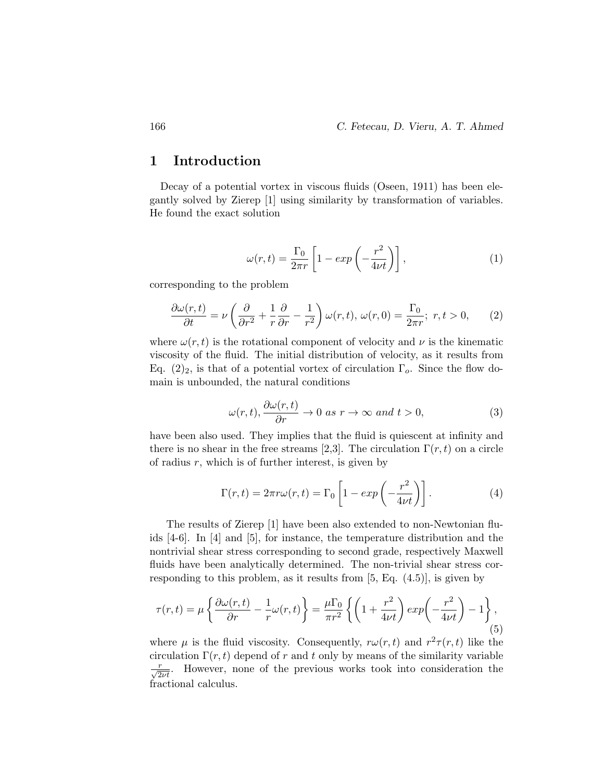### 1 Introduction

Decay of a potential vortex in viscous fluids (Oseen, 1911) has been elegantly solved by Zierep [1] using similarity by transformation of variables. He found the exact solution

$$
\omega(r,t) = \frac{\Gamma_0}{2\pi r} \left[ 1 - exp\left(-\frac{r^2}{4\nu t}\right) \right],\tag{1}
$$

corresponding to the problem

$$
\frac{\partial \omega(r,t)}{\partial t} = \nu \left( \frac{\partial}{\partial r^2} + \frac{1}{r} \frac{\partial}{\partial r} - \frac{1}{r^2} \right) \omega(r,t), \ \omega(r,0) = \frac{\Gamma_0}{2\pi r}; \ r, t > 0, \qquad (2)
$$

where  $\omega(r, t)$  is the rotational component of velocity and  $\nu$  is the kinematic viscosity of the fluid. The initial distribution of velocity, as it results from Eq.  $(2)_2$ , is that of a potential vortex of circulation  $\Gamma_o$ . Since the flow domain is unbounded, the natural conditions

$$
\omega(r,t), \frac{\partial \omega(r,t)}{\partial r} \to 0 \text{ as } r \to \infty \text{ and } t > 0,
$$
 (3)

have been also used. They implies that the fluid is quiescent at infinity and there is no shear in the free streams [2,3]. The circulation  $\Gamma(r, t)$  on a circle of radius  $r$ , which is of further interest, is given by

$$
\Gamma(r,t) = 2\pi r \omega(r,t) = \Gamma_0 \left[ 1 - \exp\left(-\frac{r^2}{4\nu t}\right) \right].
$$
 (4)

The results of Zierep [1] have been also extended to non-Newtonian fluids [4-6]. In [4] and [5], for instance, the temperature distribution and the nontrivial shear stress corresponding to second grade, respectively Maxwell fluids have been analytically determined. The non-trivial shear stress corresponding to this problem, as it results from [5, Eq. (4.5)], is given by

$$
\tau(r,t) = \mu \left\{ \frac{\partial \omega(r,t)}{\partial r} - \frac{1}{r} \omega(r,t) \right\} = \frac{\mu \Gamma_0}{\pi r^2} \left\{ \left( 1 + \frac{r^2}{4\nu t} \right) \exp\left( -\frac{r^2}{4\nu t} \right) - 1 \right\},\tag{5}
$$

where  $\mu$  is the fluid viscosity. Consequently,  $r\omega(r,t)$  and  $r^2\tau(r,t)$  like the circulation  $\Gamma(r, t)$  depend of r and t only by means of the similarity variable  $\frac{r}{\sqrt{2\nu t}}$ . However, none of the previous works took into consideration the fractional calculus.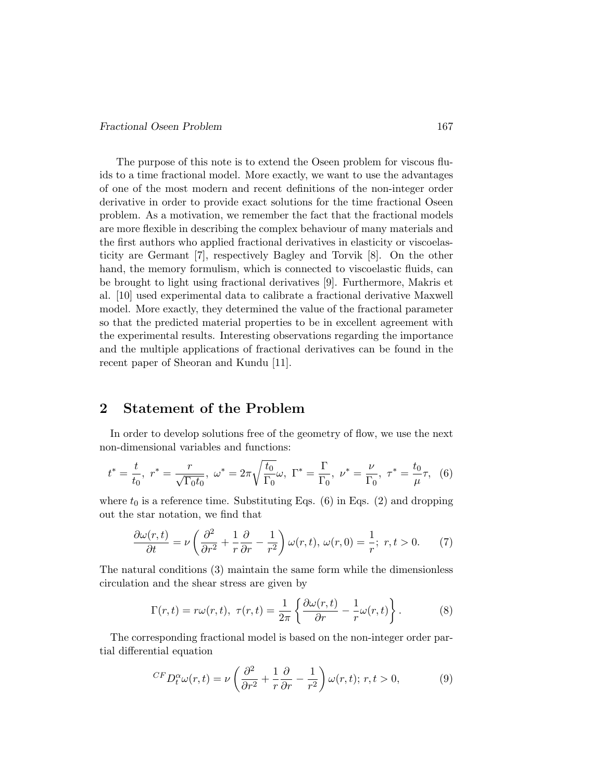The purpose of this note is to extend the Oseen problem for viscous fluids to a time fractional model. More exactly, we want to use the advantages of one of the most modern and recent definitions of the non-integer order derivative in order to provide exact solutions for the time fractional Oseen problem. As a motivation, we remember the fact that the fractional models are more flexible in describing the complex behaviour of many materials and the first authors who applied fractional derivatives in elasticity or viscoelasticity are Germant [7], respectively Bagley and Torvik [8]. On the other hand, the memory formulism, which is connected to viscoelastic fluids, can be brought to light using fractional derivatives [9]. Furthermore, Makris et al. [10] used experimental data to calibrate a fractional derivative Maxwell model. More exactly, they determined the value of the fractional parameter so that the predicted material properties to be in excellent agreement with the experimental results. Interesting observations regarding the importance and the multiple applications of fractional derivatives can be found in the recent paper of Sheoran and Kundu [11].

### 2 Statement of the Problem

In order to develop solutions free of the geometry of flow, we use the next non-dimensional variables and functions:

$$
t^* = \frac{t}{t_0}, \ r^* = \frac{r}{\sqrt{\Gamma_0 t_0}}, \ \omega^* = 2\pi \sqrt{\frac{t_0}{\Gamma_0}} \omega, \ \Gamma^* = \frac{\Gamma}{\Gamma_0}, \ \nu^* = \frac{\nu}{\Gamma_0}, \ \tau^* = \frac{t_0}{\mu} \tau, \ \ (6)
$$

where  $t_0$  is a reference time. Substituting Eqs. (6) in Eqs. (2) and dropping out the star notation, we find that

$$
\frac{\partial \omega(r,t)}{\partial t} = \nu \left( \frac{\partial^2}{\partial r^2} + \frac{1}{r} \frac{\partial}{\partial r} - \frac{1}{r^2} \right) \omega(r,t), \, \omega(r,0) = \frac{1}{r}; \, r, t > 0. \tag{7}
$$

The natural conditions (3) maintain the same form while the dimensionless circulation and the shear stress are given by

$$
\Gamma(r,t) = r\omega(r,t), \ \tau(r,t) = \frac{1}{2\pi} \left\{ \frac{\partial \omega(r,t)}{\partial r} - \frac{1}{r} \omega(r,t) \right\}.
$$
 (8)

The corresponding fractional model is based on the non-integer order partial differential equation

$$
^{CF}D_t^{\alpha}\omega(r,t) = \nu \left(\frac{\partial^2}{\partial r^2} + \frac{1}{r}\frac{\partial}{\partial r} - \frac{1}{r^2}\right)\omega(r,t); \, r, t > 0,\tag{9}
$$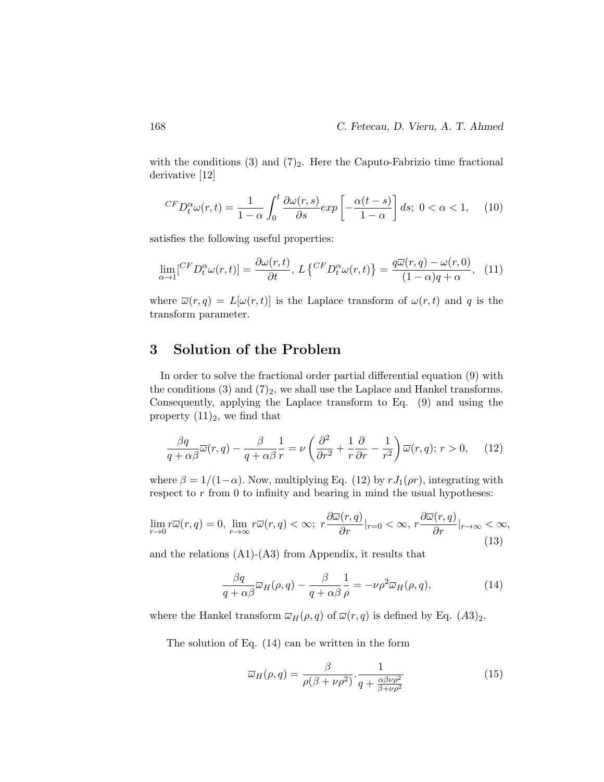with the conditions  $(3)$  and  $(7)_2$ . Here the Caputo-Fabrizio time fractional derivative [12]

$$
^{CF}D_{t}^{\alpha}\omega(r,t) = \frac{1}{1-\alpha} \int_{0}^{t} \frac{\partial \omega(r,s)}{\partial s} exp\left[-\frac{\alpha(t-s)}{1-\alpha}\right] ds; \ 0 < \alpha < 1, \quad (10)
$$

satisfies the following useful properties:

$$
\lim_{\alpha \to 1} [^{CF}D_t^{\alpha}\omega(r,t)] = \frac{\partial \omega(r,t)}{\partial t}, \ L \left\{ \begin{matrix} ^{CF}D_t^{\alpha}\omega(r,t) \end{matrix} \right\} = \frac{q\overline{\omega}(r,q) - \omega(r,0)}{(1-\alpha)q + \alpha}, \tag{11}
$$

where  $\overline{\omega}(r,q) = L[\omega(r,t)]$  is the Laplace transform of  $\omega(r,t)$  and q is the transform parameter.

# 3 Solution of the Problem

In order to solve the fractional order partial differential equation (9) with the conditions  $(3)$  and  $(7)_2$ , we shall use the Laplace and Hankel transforms. Consequently, applying the Laplace transform to Eq. (9) and using the property  $(11)_2$ , we find that

$$
\frac{\beta q}{q + \alpha \beta} \overline{\omega}(r, q) - \frac{\beta}{q + \alpha \beta} \frac{1}{r} = \nu \left( \frac{\partial^2}{\partial r^2} + \frac{1}{r} \frac{\partial}{\partial r} - \frac{1}{r^2} \right) \overline{\omega}(r, q); \ r > 0, \tag{12}
$$

where  $\beta = 1/(1-\alpha)$ . Now, multiplying Eq. (12) by  $rJ_1(\rho r)$ , integrating with respect to  $r$  from 0 to infinity and bearing in mind the usual hypotheses:

$$
\lim_{r \to 0} r\overline{\omega}(r,q) = 0, \lim_{r \to \infty} r\overline{\omega}(r,q) < \infty; \ r\frac{\partial \overline{\omega}(r,q)}{\partial r}|_{r=0} < \infty, \ r\frac{\partial \overline{\omega}(r,q)}{\partial r}|_{r \to \infty} < \infty,\tag{13}
$$

and the relations  $(A1)-(A3)$  from Appendix, it results that

$$
\frac{\beta q}{q + \alpha \beta} \overline{\omega}_H(\rho, q) - \frac{\beta}{q + \alpha \beta} \frac{1}{\rho} = -\nu \rho^2 \overline{\omega}_H(\rho, q), \tag{14}
$$

where the Hankel transform  $\overline{\omega}_H(\rho, q)$  of  $\overline{\omega}(r, q)$  is defined by Eq.  $(A3)_2$ .

The solution of Eq. (14) can be written in the form

$$
\overline{\omega}_H(\rho, q) = \frac{\beta}{\rho(\beta + \nu \rho^2)} \cdot \frac{1}{q + \frac{\alpha \beta \nu \rho^2}{\beta + \nu \rho^2}}
$$
(15)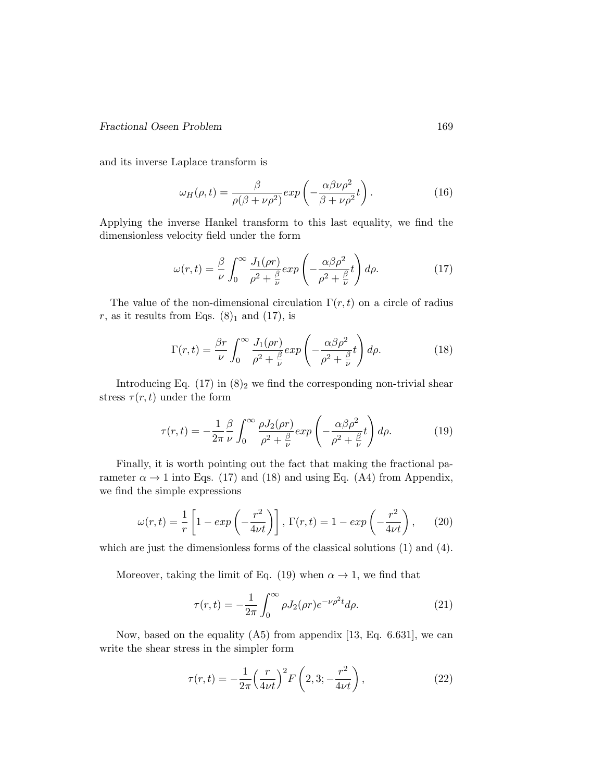#### Fractional Oseen Problem 169

and its inverse Laplace transform is

$$
\omega_H(\rho, t) = \frac{\beta}{\rho(\beta + \nu \rho^2)} exp\left(-\frac{\alpha \beta \nu \rho^2}{\beta + \nu \rho^2} t\right).
$$
 (16)

Applying the inverse Hankel transform to this last equality, we find the dimensionless velocity field under the form

$$
\omega(r,t) = \frac{\beta}{\nu} \int_0^\infty \frac{J_1(\rho r)}{\rho^2 + \frac{\beta}{\nu}} exp\left(-\frac{\alpha \beta \rho^2}{\rho^2 + \frac{\beta}{\nu}}t\right) d\rho.
$$
 (17)

The value of the non-dimensional circulation  $\Gamma(r, t)$  on a circle of radius r, as it results from Eqs.  $(8)_1$  and  $(17)$ , is

$$
\Gamma(r,t) = \frac{\beta r}{\nu} \int_0^\infty \frac{J_1(\rho r)}{\rho^2 + \frac{\beta}{\nu}} exp\left(-\frac{\alpha \beta \rho^2}{\rho^2 + \frac{\beta}{\nu}}t\right) d\rho.
$$
 (18)

Introducing Eq.  $(17)$  in  $(8)_2$  we find the corresponding non-trivial shear stress  $\tau(r, t)$  under the form

$$
\tau(r,t) = -\frac{1}{2\pi} \frac{\beta}{\nu} \int_0^\infty \frac{\rho J_2(\rho r)}{\rho^2 + \frac{\beta}{\nu}} exp\left(-\frac{\alpha \beta \rho^2}{\rho^2 + \frac{\beta}{\nu}}t\right) d\rho. \tag{19}
$$

Finally, it is worth pointing out the fact that making the fractional parameter  $\alpha \to 1$  into Eqs. (17) and (18) and using Eq. (A4) from Appendix, we find the simple expressions

$$
\omega(r,t) = \frac{1}{r} \left[ 1 - exp\left(-\frac{r^2}{4\nu t}\right) \right], \Gamma(r,t) = 1 - exp\left(-\frac{r^2}{4\nu t}\right), \quad (20)
$$

which are just the dimensionless forms of the classical solutions (1) and (4).

Moreover, taking the limit of Eq. (19) when  $\alpha \rightarrow 1$ , we find that

$$
\tau(r,t) = -\frac{1}{2\pi} \int_0^\infty \rho J_2(\rho r) e^{-\nu \rho^2 t} d\rho.
$$
 (21)

Now, based on the equality (A5) from appendix [13, Eq. 6.631], we can write the shear stress in the simpler form

$$
\tau(r,t) = -\frac{1}{2\pi} \left(\frac{r}{4\nu t}\right)^2 F\left(2,3; -\frac{r^2}{4\nu t}\right),\tag{22}
$$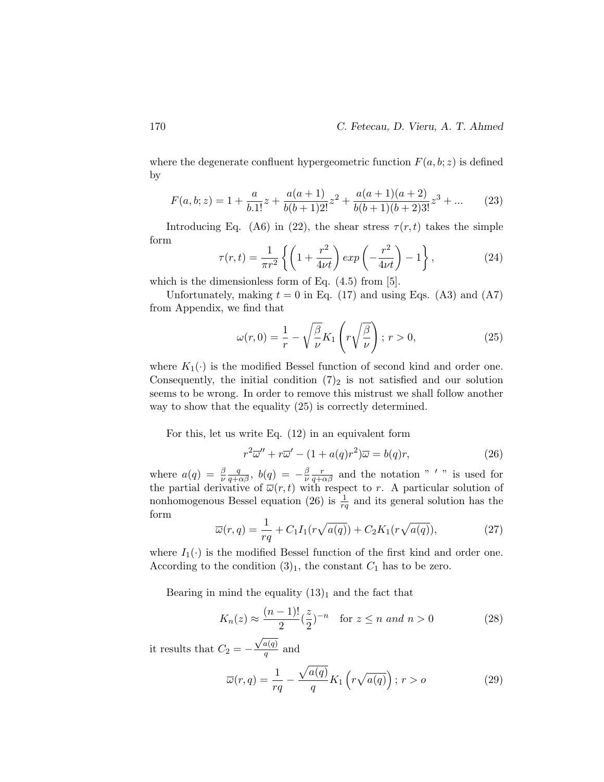where the degenerate confluent hypergeometric function  $F(a, b; z)$  is defined by

$$
F(a, b; z) = 1 + \frac{a}{b \cdot 1!}z + \frac{a(a+1)}{b(b+1)2!}z^2 + \frac{a(a+1)(a+2)}{b(b+1)(b+2)3!}z^3 + \dots
$$
 (23)

Introducing Eq. (A6) in (22), the shear stress  $\tau(r, t)$  takes the simple form

$$
\tau(r,t) = \frac{1}{\pi r^2} \left\{ \left( 1 + \frac{r^2}{4\nu t} \right) \exp\left( -\frac{r^2}{4\nu t} \right) - 1 \right\},\tag{24}
$$

which is the dimensionless form of Eq.  $(4.5)$  from [5].

Unfortunately, making  $t = 0$  in Eq. (17) and using Eqs. (A3) and (A7) from Appendix, we find that

$$
\omega(r,0) = \frac{1}{r} - \sqrt{\frac{\beta}{\nu}} K_1\left(r\sqrt{\frac{\beta}{\nu}}\right); \ r > 0,
$$
\n(25)

where  $K_1(\cdot)$  is the modified Bessel function of second kind and order one. Consequently, the initial condition  $(7)_2$  is not satisfied and our solution seems to be wrong. In order to remove this mistrust we shall follow another way to show that the equality (25) is correctly determined.

For this, let us write Eq. (12) in an equivalent form

$$
r^{2}\overline{\omega}'' + r\overline{\omega}' - (1 + a(q)r^{2})\overline{\omega} = b(q)r,
$$
\n(26)

where  $a(q) = \frac{\beta}{\nu}$  $\frac{q}{q+\alpha\beta},\,\, b(q)\,=\,-\frac{\beta}{\nu}$ ν  $\frac{r}{q+\alpha\beta}$  and the notation "'" is used for the partial derivative of  $\overline{\omega}(r,t)$  with respect to r. A particular solution of nonhomogenous Bessel equation (26) is  $\frac{1}{rq}$  and its general solution has the form

$$
\overline{\omega}(r,q) = \frac{1}{rq} + C_1 I_1(r\sqrt{a(q)}) + C_2 K_1(r\sqrt{a(q)}),\tag{27}
$$

where  $I_1(\cdot)$  is the modified Bessel function of the first kind and order one. According to the condition  $(3)_1$ , the constant  $C_1$  has to be zero.

Bearing in mind the equality  $(13)<sub>1</sub>$  and the fact that

$$
K_n(z) \approx \frac{(n-1)!}{2} (\frac{z}{2})^{-n}
$$
 for  $z \le n$  and  $n > 0$  (28)

it results that  $C_2 = \sqrt{a(q)}$  $\frac{a(q)}{q}$  and

$$
\overline{\omega}(r,q) = \frac{1}{rq} - \frac{\sqrt{a(q)}}{q} K_1 \left( r \sqrt{a(q)} \right); r > o \tag{29}
$$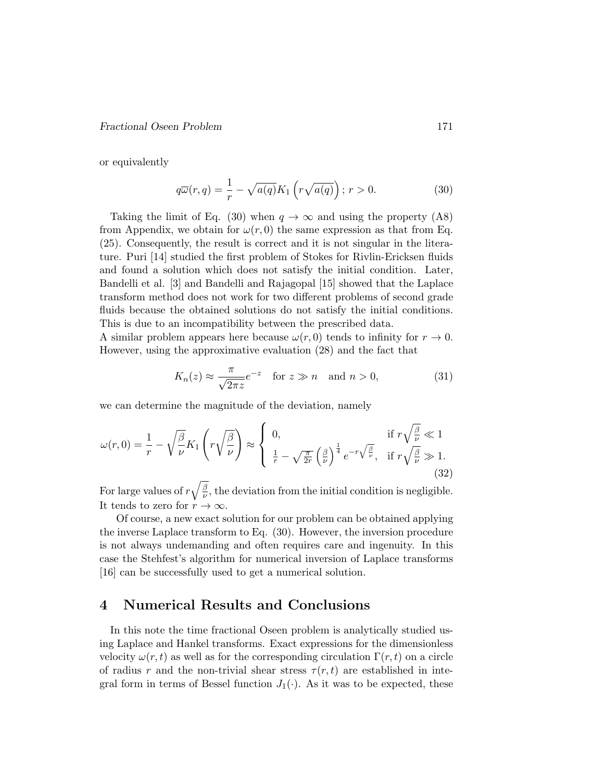#### Fractional Oseen Problem 171

or equivalently

$$
q\overline{\omega}(r,q) = \frac{1}{r} - \sqrt{a(q)}K_1\left(r\sqrt{a(q)}\right); r > 0.
$$
 (30)

Taking the limit of Eq. (30) when  $q \to \infty$  and using the property (A8) from Appendix, we obtain for  $\omega(r, 0)$  the same expression as that from Eq. (25). Consequently, the result is correct and it is not singular in the literature. Puri [14] studied the first problem of Stokes for Rivlin-Ericksen fluids and found a solution which does not satisfy the initial condition. Later, Bandelli et al. [3] and Bandelli and Rajagopal [15] showed that the Laplace transform method does not work for two different problems of second grade fluids because the obtained solutions do not satisfy the initial conditions. This is due to an incompatibility between the prescribed data.

A similar problem appears here because  $\omega(r, 0)$  tends to infinity for  $r \to 0$ . However, using the approximative evaluation (28) and the fact that

$$
K_n(z) \approx \frac{\pi}{\sqrt{2\pi z}} e^{-z} \quad \text{for } z \gg n \quad \text{and } n > 0,
$$
 (31)

we can determine the magnitude of the deviation, namely

$$
\omega(r,0) = \frac{1}{r} - \sqrt{\frac{\beta}{\nu}} K_1 \left( r \sqrt{\frac{\beta}{\nu}} \right) \approx \begin{cases} 0, & \text{if } r \sqrt{\frac{\beta}{\nu}} \ll 1 \\ \frac{1}{r} - \sqrt{\frac{\pi}{2r}} \left( \frac{\beta}{\nu} \right)^{\frac{1}{4}} e^{-r \sqrt{\frac{\beta}{\nu}}}, & \text{if } r \sqrt{\frac{\beta}{\nu}} \gg 1. \end{cases}
$$
(32)

For large values of  $r\sqrt{\frac{\beta}{\mu}}$  $\frac{\beta}{\nu}$ , the deviation from the initial condition is negligible. It tends to zero for  $r \to \infty$ .

Of course, a new exact solution for our problem can be obtained applying the inverse Laplace transform to Eq. (30). However, the inversion procedure is not always undemanding and often requires care and ingenuity. In this case the Stehfest's algorithm for numerical inversion of Laplace transforms [16] can be successfully used to get a numerical solution.

### 4 Numerical Results and Conclusions

In this note the time fractional Oseen problem is analytically studied using Laplace and Hankel transforms. Exact expressions for the dimensionless velocity  $\omega(r, t)$  as well as for the corresponding circulation  $\Gamma(r, t)$  on a circle of radius r and the non-trivial shear stress  $\tau(r, t)$  are established in integral form in terms of Bessel function  $J_1(\cdot)$ . As it was to be expected, these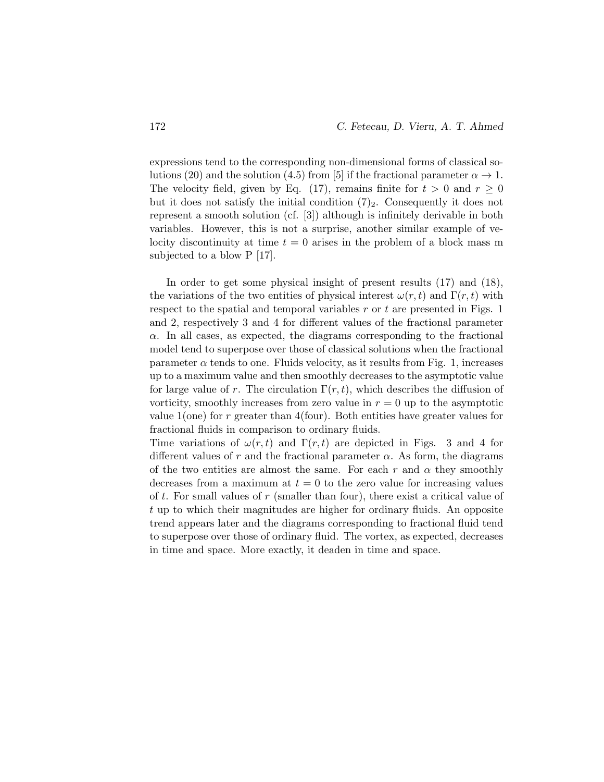expressions tend to the corresponding non-dimensional forms of classical solutions (20) and the solution (4.5) from [5] if the fractional parameter  $\alpha \to 1$ . The velocity field, given by Eq. (17), remains finite for  $t > 0$  and  $r \ge 0$ but it does not satisfy the initial condition  $(7)_2$ . Consequently it does not represent a smooth solution (cf. [3]) although is infinitely derivable in both variables. However, this is not a surprise, another similar example of velocity discontinuity at time  $t = 0$  arises in the problem of a block mass m subjected to a blow P [17].

In order to get some physical insight of present results (17) and (18), the variations of the two entities of physical interest  $\omega(r, t)$  and  $\Gamma(r, t)$  with respect to the spatial and temporal variables  $r$  or  $t$  are presented in Figs. 1 and 2, respectively 3 and 4 for different values of the fractional parameter  $\alpha$ . In all cases, as expected, the diagrams corresponding to the fractional model tend to superpose over those of classical solutions when the fractional parameter  $\alpha$  tends to one. Fluids velocity, as it results from Fig. 1, increases up to a maximum value and then smoothly decreases to the asymptotic value for large value of r. The circulation  $\Gamma(r, t)$ , which describes the diffusion of vorticity, smoothly increases from zero value in  $r = 0$  up to the asymptotic value  $1$ (one) for r greater than  $4$ (four). Both entities have greater values for fractional fluids in comparison to ordinary fluids.

Time variations of  $\omega(r, t)$  and  $\Gamma(r, t)$  are depicted in Figs. 3 and 4 for different values of r and the fractional parameter  $\alpha$ . As form, the diagrams of the two entities are almost the same. For each r and  $\alpha$  they smoothly decreases from a maximum at  $t = 0$  to the zero value for increasing values of t. For small values of  $r$  (smaller than four), there exist a critical value of t up to which their magnitudes are higher for ordinary fluids. An opposite trend appears later and the diagrams corresponding to fractional fluid tend to superpose over those of ordinary fluid. The vortex, as expected, decreases in time and space. More exactly, it deaden in time and space.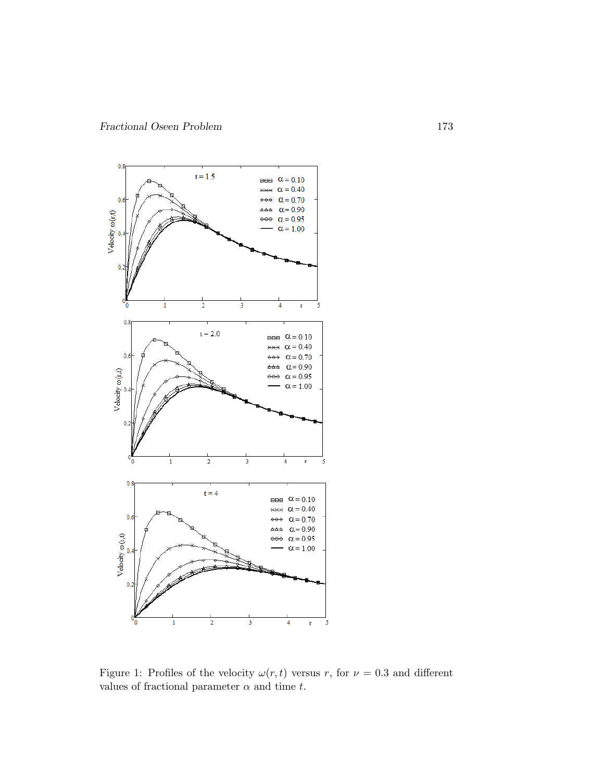

Figure 1: Profiles of the velocity  $\omega(r, t)$  versus r, for  $\nu = 0.3$  and different values of fractional parameter  $\alpha$  and time t.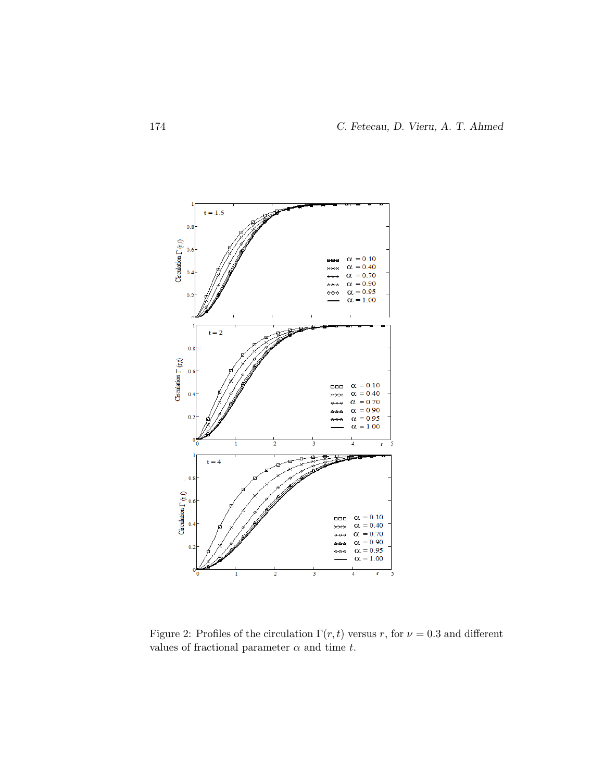

Figure 2: Profiles of the circulation  $\Gamma(r, t)$  versus r, for  $\nu = 0.3$  and different values of fractional parameter  $\alpha$  and time t.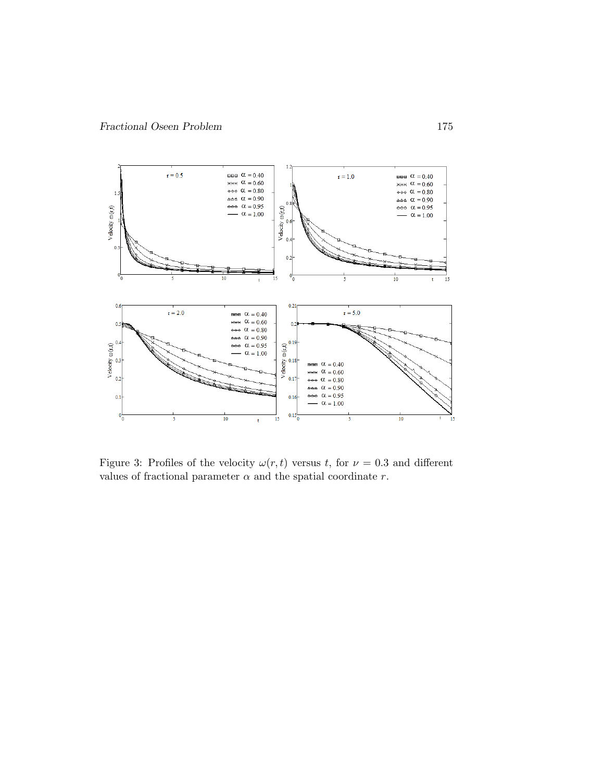

Figure 3: Profiles of the velocity  $\omega(r, t)$  versus t, for  $\nu = 0.3$  and different values of fractional parameter  $\alpha$  and the spatial coordinate  $r$ .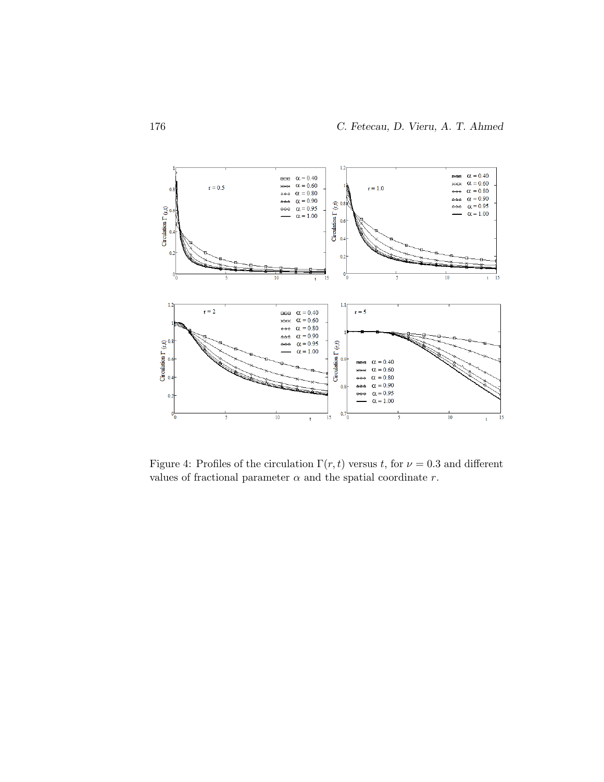

Figure 4: Profiles of the circulation  $\Gamma(r, t)$  versus t, for  $\nu = 0.3$  and different values of fractional parameter  $\alpha$  and the spatial coordinate r.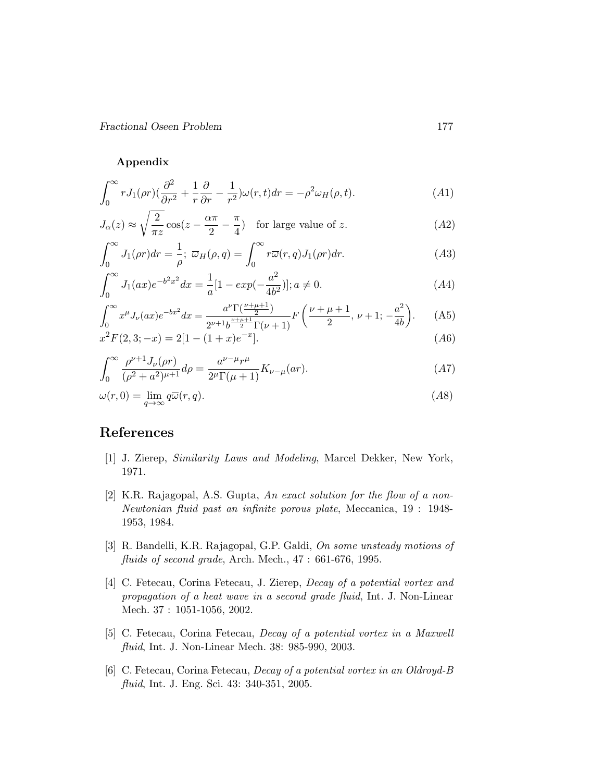Fractional Oseen Problem 177

Appendix

$$
\int_0^\infty r J_1(\rho r) \left(\frac{\partial^2}{\partial r^2} + \frac{1}{r} \frac{\partial}{\partial r} - \frac{1}{r^2}\right) \omega(r, t) dr = -\rho^2 \omega_H(\rho, t). \tag{A1}
$$

$$
J_{\alpha}(z) \approx \sqrt{\frac{2}{\pi z}} \cos(z - \frac{\alpha \pi}{2} - \frac{\pi}{4}) \quad \text{for large value of } z.
$$
 (A2)

$$
\int_0^\infty J_1(\rho r) dr = \frac{1}{\rho}; \ \overline{\omega}_H(\rho, q) = \int_0^\infty r \overline{\omega}(r, q) J_1(\rho r) dr.
$$
 (A3)

$$
\int_0^\infty J_1(ax)e^{-b^2x^2}dx = \frac{1}{a}[1 - exp(-\frac{a^2}{4b^2})]; a \neq 0.
$$
 (A4)

$$
\int_0^\infty x^\mu J_\nu(ax)e^{-bx^2}dx = \frac{a^\nu \Gamma(\frac{\nu+\mu+1}{2})}{2^{\nu+1}b^{\frac{\nu+\mu+1}{2}}\Gamma(\nu+1)}F\left(\frac{\nu+\mu+1}{2}, \nu+1; -\frac{a^2}{4b}\right). \tag{A5}
$$

$$
x^{2}F(2,3;-x) = 2[1 - (1+x)e^{-x}].
$$
\n(A6)

$$
\int_0^\infty \frac{\rho^{\nu+1} J_\nu(\rho r)}{(\rho^2 + a^2)^{\mu+1}} d\rho = \frac{a^{\nu-\mu} r^\mu}{2^\mu \Gamma(\mu+1)} K_{\nu-\mu}(ar). \tag{A7}
$$

$$
\omega(r,0) = \lim_{q \to \infty} q\overline{\omega}(r,q). \tag{A8}
$$

## References

- [1] J. Zierep, Similarity Laws and Modeling, Marcel Dekker, New York, 1971.
- [2] K.R. Rajagopal, A.S. Gupta, An exact solution for the flow of a non-Newtonian fluid past an infinite porous plate, Meccanica, 19 : 1948- 1953, 1984.
- [3] R. Bandelli, K.R. Rajagopal, G.P. Galdi, On some unsteady motions of fluids of second grade, Arch. Mech., 47: 661-676, 1995.
- [4] C. Fetecau, Corina Fetecau, J. Zierep, Decay of a potential vortex and propagation of a heat wave in a second grade fluid, Int. J. Non-Linear Mech. 37 : 1051-1056, 2002.
- [5] C. Fetecau, Corina Fetecau, Decay of a potential vortex in a Maxwell fluid, Int. J. Non-Linear Mech. 38: 985-990, 2003.
- [6] C. Fetecau, Corina Fetecau, Decay of a potential vortex in an Oldroyd-B fluid, Int. J. Eng. Sci. 43: 340-351, 2005.